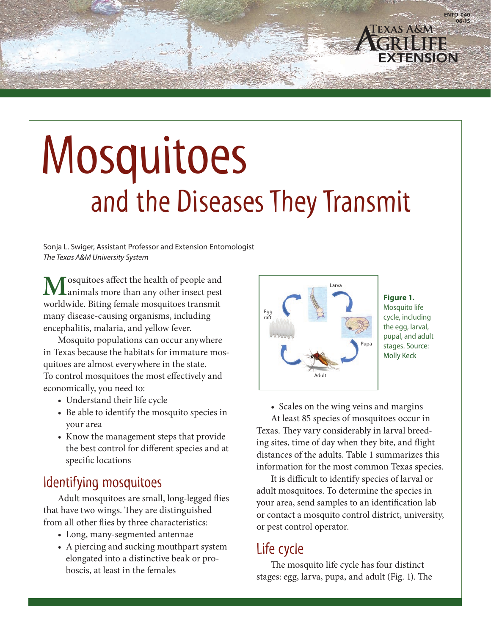# Mosquitoes and the Diseases They Transmit

Sonja L. Swiger, Assistant Professor and Extension Entomologist *The Texas A&M University System*

Mosquitoes affect the health of people and<br>
animals more than any other insect pest worldwide. Biting female mosquitoes transmit many disease-causing organisms, including encephalitis, malaria, and yellow fever.

Mosquito populations can occur anywhere in Texas because the habitats for immature mosquitoes are almost everywhere in the state. To control mosquitoes the most effectively and economically, you need to:

- Understand their life cycle
- Be able to identify the mosquito species in your area
- Know the management steps that provide the best control for different species and at specific locations

## Identifying mosquitoes

Adult mosquitoes are small, long-legged flies that have two wings. They are distinguished from all other flies by three characteristics:

- Long, many-segmented antennae
- A piercing and sucking mouthpart system elongated into a distinctive beak or proboscis, at least in the females



**Figure 1.** Mosquito life cycle, including the egg, larval, pupal, and adult stages. Source: Molly Keck

• Scales on the wing veins and margins At least 85 species of mosquitoes occur in Texas. They vary considerably in larval breeding sites, time of day when they bite, and flight distances of the adults. Table 1 summarizes this information for the most common Texas species.

It is difficult to identify species of larval or adult mosquitoes. To determine the species in your area, send samples to an identification lab or contact a mosquito control district, university, or pest control operator.

## Life cycle

The mosquito life cycle has four distinct stages: egg, larva, pupa, and adult (Fig. 1). The

**EXAS A&M**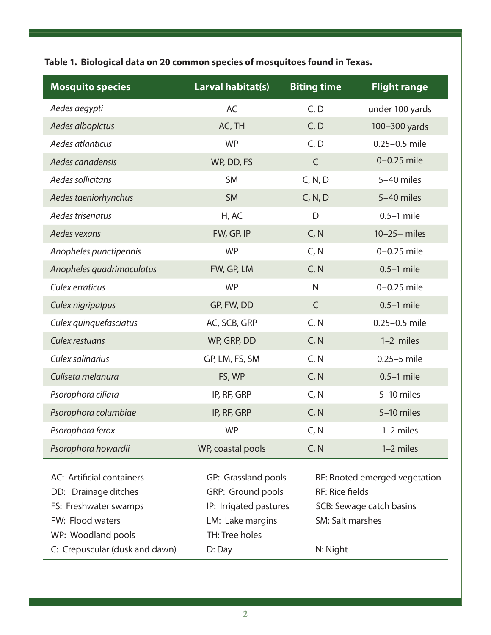**Table 1. Biological data on 20 common species of mosquitoes found in Texas.**

| <b>Mosquito species</b>        | Larval habitat(s)      | <b>Biting time</b> | <b>Flight range</b>                                     |  |
|--------------------------------|------------------------|--------------------|---------------------------------------------------------|--|
| Aedes aegypti                  | AC                     | C, D               | under 100 yards                                         |  |
| Aedes albopictus               | AC, TH                 | C, D               | 100-300 yards                                           |  |
| Aedes atlanticus               | <b>WP</b>              | C, D               | $0.25 - 0.5$ mile                                       |  |
| Aedes canadensis               | WP, DD, FS             | $\mathsf{C}$       | $0-0.25$ mile                                           |  |
| Aedes sollicitans              | <b>SM</b>              | C, N, D            | 5-40 miles                                              |  |
| Aedes taeniorhynchus           | <b>SM</b>              | C, N, D            | 5-40 miles                                              |  |
| Aedes triseriatus              | H, AC                  | D                  | $0.5-1$ mile                                            |  |
| Aedes vexans                   | FW, GP, IP             | C, N               | $10-25+$ miles                                          |  |
| Anopheles punctipennis         | <b>WP</b>              | C, N               | $0-0.25$ mile                                           |  |
| Anopheles quadrimaculatus      | FW, GP, LM             | C, N               | $0.5-1$ mile                                            |  |
| Culex erraticus                | <b>WP</b>              | N                  | $0-0.25$ mile                                           |  |
| Culex nigripalpus              | GP, FW, DD             | $\mathsf{C}$       | $0.5-1$ mile                                            |  |
| Culex quinquefasciatus         | AC, SCB, GRP           | C, N               | $0.25 - 0.5$ mile                                       |  |
| Culex restuans                 | WP, GRP, DD            | C, N               | 1-2 miles                                               |  |
| Culex salinarius               | GP, LM, FS, SM         | C, N               | $0.25 - 5$ mile                                         |  |
| Culiseta melanura              | FS, WP                 | C, N               | $0.5-1$ mile                                            |  |
| Psorophora ciliata             | IP, RF, GRP            | C, N               | 5-10 miles                                              |  |
| Psorophora columbiae           | IP, RF, GRP            | C, N               | 5-10 miles                                              |  |
| Psorophora ferox               | <b>WP</b>              | C, N               | 1-2 miles                                               |  |
| Psorophora howardii            | WP, coastal pools      | C, N               | 1-2 miles                                               |  |
| AC: Artificial containers      | GP: Grassland pools    |                    |                                                         |  |
| DD: Drainage ditches           | GRP: Ground pools      |                    | RE: Rooted emerged vegetation<br><b>RF: Rice fields</b> |  |
| FS: Freshwater swamps          | IP: Irrigated pastures |                    | SCB: Sewage catch basins                                |  |
| FW: Flood waters               | LM: Lake margins       |                    | SM: Salt marshes                                        |  |
| WP: Woodland pools             | TH: Tree holes         |                    |                                                         |  |
| C: Crepuscular (dusk and dawn) | D: Day                 | N: Night           |                                                         |  |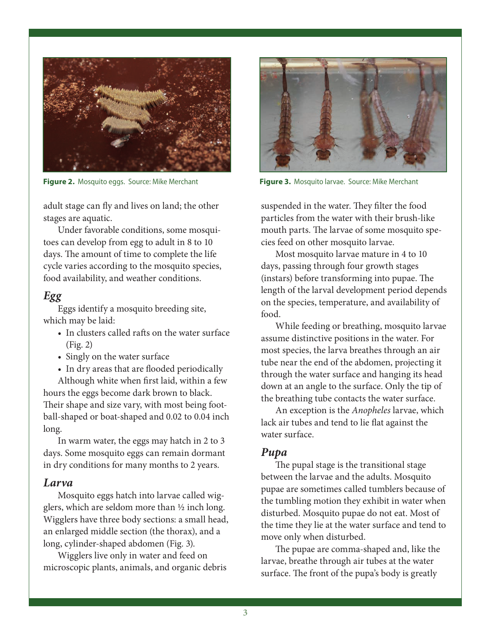

**Figure 2.** Mosquito eggs. Source: Mike Merchant **Figure 3.** Mosquito larvae. Source: Mike Merchant

adult stage can fly and lives on land; the other stages are aquatic.

Under favorable conditions, some mosquitoes can develop from egg to adult in 8 to 10 days. The amount of time to complete the life cycle varies according to the mosquito species, food availability, and weather conditions.

#### *Egg*

Eggs identify a mosquito breeding site, which may be laid:

- In clusters called rafts on the water surface (Fig. 2)
- Singly on the water surface
- In dry areas that are flooded periodically

Although white when first laid, within a few hours the eggs become dark brown to black. Their shape and size vary, with most being football-shaped or boat-shaped and 0.02 to 0.04 inch long.

In warm water, the eggs may hatch in 2 to 3 days. Some mosquito eggs can remain dormant in dry conditions for many months to 2 years.

#### *Larva*

Mosquito eggs hatch into larvae called wigglers, which are seldom more than ½ inch long. Wigglers have three body sections: a small head, an enlarged middle section (the thorax), and a long, cylinder-shaped abdomen (Fig. 3).

Wigglers live only in water and feed on microscopic plants, animals, and organic debris



suspended in the water. They filter the food particles from the water with their brush-like mouth parts. The larvae of some mosquito species feed on other mosquito larvae.

Most mosquito larvae mature in 4 to 10 days, passing through four growth stages (instars) before transforming into pupae. The length of the larval development period depends on the species, temperature, and availability of food.

While feeding or breathing, mosquito larvae assume distinctive positions in the water. For most species, the larva breathes through an air tube near the end of the abdomen, projecting it through the water surface and hanging its head down at an angle to the surface. Only the tip of the breathing tube contacts the water surface.

An exception is the *Anopheles* larvae, which lack air tubes and tend to lie flat against the water surface.

#### *Pupa*

The pupal stage is the transitional stage between the larvae and the adults. Mosquito pupae are sometimes called tumblers because of the tumbling motion they exhibit in water when disturbed. Mosquito pupae do not eat. Most of the time they lie at the water surface and tend to move only when disturbed.

The pupae are comma-shaped and, like the larvae, breathe through air tubes at the water surface. The front of the pupa's body is greatly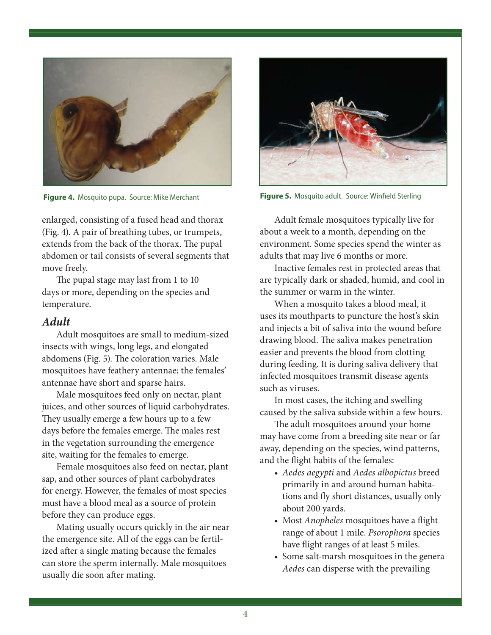

enlarged, consisting of a fused head and thorax (Fig. 4). A pair of breathing tubes, or trumpets, extends from the back of the thorax. The pupal abdomen or tail consists of several segments that move freely.

The pupal stage may last from 1 to 10 days or more, depending on the species and temperature.

#### *Adult*

Adult mosquitoes are small to medium-sized insects with wings, long legs, and elongated abdomens (Fig. 5). The coloration varies. Male mosquitoes have feathery antennae; the females' antennae have short and sparse hairs.

Male mosquitoes feed only on nectar, plant juices, and other sources of liquid carbohydrates. They usually emerge a few hours up to a few days before the females emerge. The males rest in the vegetation surrounding the emergence site, waiting for the females to emerge.

Female mosquitoes also feed on nectar, plant sap, and other sources of plant carbohydrates for energy. However, the females of most species must have a blood meal as a source of protein before they can produce eggs.

Mating usually occurs quickly in the air near the emergence site. All of the eggs can be fertilized after a single mating because the females can store the sperm internally. Male mosquitoes usually die soon after mating.



**Figure 4.** Mosquito pupa. Source: Mike Merchant **Figure 5.** Mosquito adult. Source: Winfield Sterling

Adult female mosquitoes typically live for about a week to a month, depending on the environment. Some species spend the winter as adults that may live 6 months or more.

Inactive females rest in protected areas that are typically dark or shaded, humid, and cool in the summer or warm in the winter.

When a mosquito takes a blood meal, it uses its mouthparts to puncture the host's skin and injects a bit of saliva into the wound before drawing blood. The saliva makes penetration easier and prevents the blood from clotting during feeding. It is during saliva delivery that infected mosquitoes transmit disease agents such as viruses.

In most cases, the itching and swelling caused by the saliva subside within a few hours.

The adult mosquitoes around your home may have come from a breeding site near or far away, depending on the species, wind patterns, and the flight habits of the females:

- *Aedes aegypti* and *Aedes albopictus* breed primarily in and around human habitations and fly short distances, usually only about 200 yards.
- Most *Anopheles* mosquitoes have a flight range of about 1 mile. *Psorophora* species have flight ranges of at least 5 miles.
- Some salt-marsh mosquitoes in the genera *Aedes* can disperse with the prevailing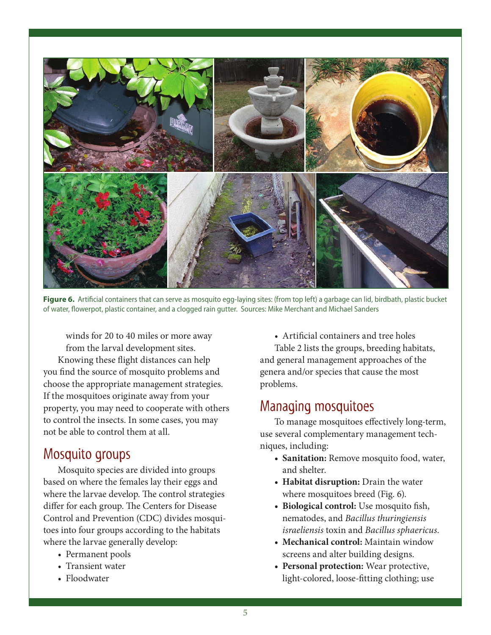

Figure 6. Artificial containers that can serve as mosquito egg-laying sites: (from top left) a garbage can lid, birdbath, plastic bucket of water, flowerpot, plastic container, and a clogged rain gutter. Sources: Mike Merchant and Michael Sanders

winds for 20 to 40 miles or more away from the larval development sites. Knowing these flight distances can help you find the source of mosquito problems and choose the appropriate management strategies. If the mosquitoes originate away from your property, you may need to cooperate with others to control the insects. In some cases, you may not be able to control them at all.

#### Mosquito groups

Mosquito species are divided into groups based on where the females lay their eggs and where the larvae develop. The control strategies differ for each group. The Centers for Disease Control and Prevention (CDC) divides mosquitoes into four groups according to the habitats where the larvae generally develop:

- Permanent pools
- Transient water
- Floodwater

*•* Artificial containers and tree holes

Table 2 lists the groups, breeding habitats, and general management approaches of the genera and/or species that cause the most problems.

#### Managing mosquitoes

To manage mosquitoes effectively long-term, use several complementary management techniques, including:

- **Sanitation:** Remove mosquito food, water, and shelter.
- **Habitat disruption:** Drain the water where mosquitoes breed (Fig. 6).
- **Biological control:** Use mosquito fish, nematodes, and *Bacillus thuringiensis israeliensis* toxin and *Bacillus sphaericus*.
- **Mechanical control:** Maintain window screens and alter building designs.
- **Personal protection:** Wear protective, light-colored, loose-fitting clothing; use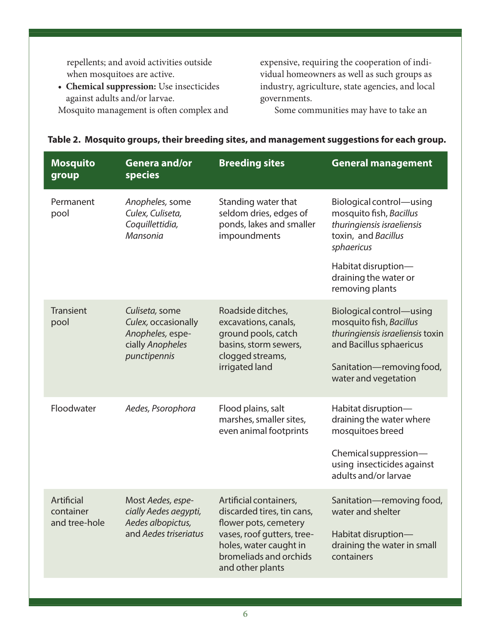repellents; and avoid activities outside when mosquitoes are active.

**• Chemical suppression:** Use insecticides against adults and/or larvae. Mosquito management is often complex and expensive, requiring the cooperation of individual homeowners as well as such groups as industry, agriculture, state agencies, and local governments.

Some communities may have to take an

| <b>Mosquito</b><br>group                 | <b>Genera and/or</b><br>species                                                               | <b>Breeding sites</b>                                                                                                                                                               | <b>General management</b>                                                                                                                                               |
|------------------------------------------|-----------------------------------------------------------------------------------------------|-------------------------------------------------------------------------------------------------------------------------------------------------------------------------------------|-------------------------------------------------------------------------------------------------------------------------------------------------------------------------|
| Permanent<br>pool                        | Anopheles, some<br>Culex, Culiseta,<br>Coquillettidia,<br>Mansonia                            | Standing water that<br>seldom dries, edges of<br>ponds, lakes and smaller<br>impoundments                                                                                           | Biological control-using<br>mosquito fish, Bacillus<br>thuringiensis israeliensis<br>toxin, and Bacillus<br>sphaericus                                                  |
|                                          |                                                                                               |                                                                                                                                                                                     | Habitat disruption-<br>draining the water or<br>removing plants                                                                                                         |
| Transient<br>pool                        | Culiseta, some<br>Culex, occasionally<br>Anopheles, espe-<br>cially Anopheles<br>punctipennis | Roadside ditches,<br>excavations, canals,<br>ground pools, catch<br>basins, storm sewers,<br>clogged streams,<br>irrigated land                                                     | Biological control-using<br>mosquito fish, Bacillus<br>thuringiensis israeliensis toxin<br>and Bacillus sphaericus<br>Sanitation-removing food,<br>water and vegetation |
| Floodwater                               | Aedes, Psorophora                                                                             | Flood plains, salt<br>marshes, smaller sites,<br>even animal footprints                                                                                                             | Habitat disruption-<br>draining the water where<br>mosquitoes breed<br>Chemical suppression-<br>using insecticides against<br>adults and/or larvae                      |
| Artificial<br>container<br>and tree-hole | Most Aedes, espe-<br>cially Aedes aegypti,<br>Aedes albopictus,<br>and Aedes triseriatus      | Artificial containers,<br>discarded tires, tin cans,<br>flower pots, cemetery<br>vases, roof gutters, tree-<br>holes, water caught in<br>bromeliads and orchids<br>and other plants | Sanitation-removing food,<br>water and shelter<br>Habitat disruption-<br>draining the water in small<br>containers                                                      |

#### **Table 2. Mosquito groups, their breeding sites, and management suggestions for each group.**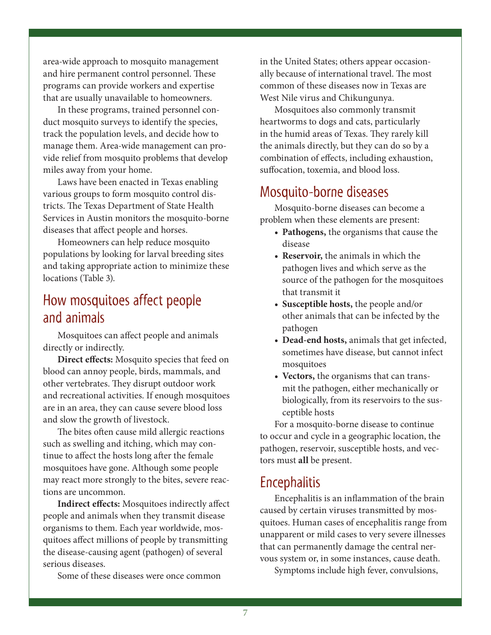area-wide approach to mosquito management and hire permanent control personnel. These programs can provide workers and expertise that are usually unavailable to homeowners.

In these programs, trained personnel conduct mosquito surveys to identify the species, track the population levels, and decide how to manage them. Area-wide management can provide relief from mosquito problems that develop miles away from your home.

Laws have been enacted in Texas enabling various groups to form mosquito control districts. The Texas Department of State Health Services in Austin monitors the mosquito-borne diseases that affect people and horses.

Homeowners can help reduce mosquito populations by looking for larval breeding sites and taking appropriate action to minimize these locations (Table 3).

## How mosquitoes affect people and animals

Mosquitoes can affect people and animals directly or indirectly.

**Direct effects:** Mosquito species that feed on blood can annoy people, birds, mammals, and other vertebrates. They disrupt outdoor work and recreational activities. If enough mosquitoes are in an area, they can cause severe blood loss and slow the growth of livestock.

The bites often cause mild allergic reactions such as swelling and itching, which may continue to affect the hosts long after the female mosquitoes have gone. Although some people may react more strongly to the bites, severe reactions are uncommon.

**Indirect effects:** Mosquitoes indirectly affect people and animals when they transmit disease organisms to them. Each year worldwide, mosquitoes affect millions of people by transmitting the disease-causing agent (pathogen) of several serious diseases.

Some of these diseases were once common

in the United States; others appear occasionally because of international travel. The most common of these diseases now in Texas are West Nile virus and Chikungunya.

Mosquitoes also commonly transmit heartworms to dogs and cats, particularly in the humid areas of Texas. They rarely kill the animals directly, but they can do so by a combination of effects, including exhaustion, suffocation, toxemia, and blood loss.

## Mosquito-borne diseases

Mosquito-borne diseases can become a problem when these elements are present:

- **• Pathogens,** the organisms that cause the disease
- **• Reservoir,** the animals in which the pathogen lives and which serve as the source of the pathogen for the mosquitoes that transmit it
- **• Susceptible hosts,** the people and/or other animals that can be infected by the pathogen
- **• Dead-end hosts,** animals that get infected, sometimes have disease, but cannot infect mosquitoes
- **• Vectors,** the organisms that can transmit the pathogen, either mechanically or biologically, from its reservoirs to the susceptible hosts

For a mosquito-borne disease to continue to occur and cycle in a geographic location, the pathogen, reservoir, susceptible hosts, and vectors must **all** be present.

## **Encephalitis**

Encephalitis is an inflammation of the brain caused by certain viruses transmitted by mosquitoes. Human cases of encephalitis range from unapparent or mild cases to very severe illnesses that can permanently damage the central nervous system or, in some instances, cause death.

Symptoms include high fever, convulsions,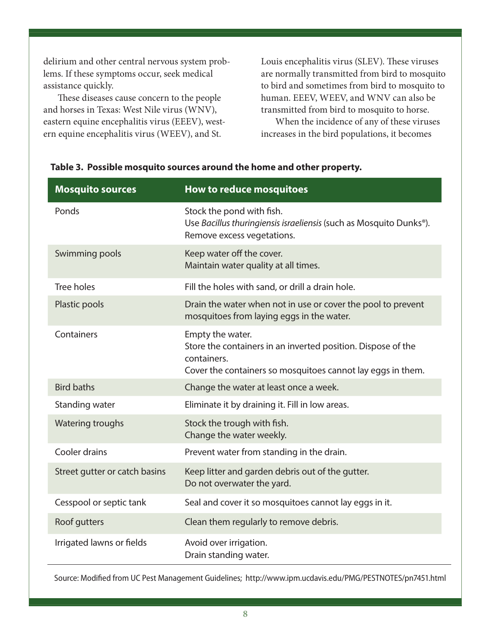delirium and other central nervous system problems. If these symptoms occur, seek medical assistance quickly.

These diseases cause concern to the people and horses in Texas: West Nile virus (WNV), eastern equine encephalitis virus (EEEV), western equine encephalitis virus (WEEV), and St.

Louis encephalitis virus (SLEV). These viruses are normally transmitted from bird to mosquito to bird and sometimes from bird to mosquito to human. EEEV, WEEV, and WNV can also be transmitted from bird to mosquito to horse.

When the incidence of any of these viruses increases in the bird populations, it becomes

| <b>Mosquito sources</b>       | How to reduce mosquitoes                                                                                                                                       |
|-------------------------------|----------------------------------------------------------------------------------------------------------------------------------------------------------------|
| Ponds                         | Stock the pond with fish.<br>Use Bacillus thuringiensis israeliensis (such as Mosquito Dunks®).<br>Remove excess vegetations.                                  |
| Swimming pools                | Keep water off the cover.<br>Maintain water quality at all times.                                                                                              |
| <b>Tree holes</b>             | Fill the holes with sand, or drill a drain hole.                                                                                                               |
| Plastic pools                 | Drain the water when not in use or cover the pool to prevent<br>mosquitoes from laying eggs in the water.                                                      |
| Containers                    | Empty the water.<br>Store the containers in an inverted position. Dispose of the<br>containers.<br>Cover the containers so mosquitoes cannot lay eggs in them. |
| <b>Bird baths</b>             | Change the water at least once a week.                                                                                                                         |
| Standing water                | Eliminate it by draining it. Fill in low areas.                                                                                                                |
| <b>Watering troughs</b>       | Stock the trough with fish.<br>Change the water weekly.                                                                                                        |
| Cooler drains                 | Prevent water from standing in the drain.                                                                                                                      |
| Street gutter or catch basins | Keep litter and garden debris out of the gutter.<br>Do not overwater the yard.                                                                                 |
| Cesspool or septic tank       | Seal and cover it so mosquitoes cannot lay eggs in it.                                                                                                         |
| Roof gutters                  | Clean them regularly to remove debris.                                                                                                                         |
| Irrigated lawns or fields     | Avoid over irrigation.<br>Drain standing water.                                                                                                                |

#### **Table 3. Possible mosquito sources around the home and other property.**

Source: Modified from UC Pest Management Guidelines; <http://www.ipm.ucdavis.edu/PMG/PESTNOTES/pn7451.html>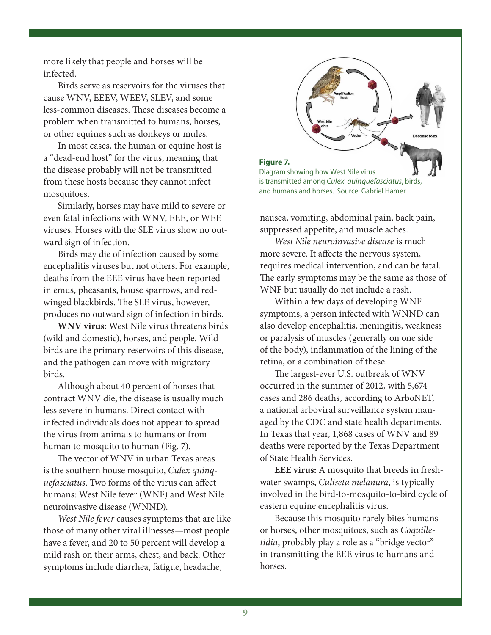more likely that people and horses will be infected.

Birds serve as reservoirs for the viruses that cause WNV, EEEV, WEEV, SLEV, and some less-common diseases. These diseases become a problem when transmitted to humans, horses, or other equines such as donkeys or mules.

In most cases, the human or equine host is a "dead-end host" for the virus, meaning that the disease probably will not be transmitted from these hosts because they cannot infect mosquitoes.

Similarly, horses may have mild to severe or even fatal infections with WNV, EEE, or WEE viruses. Horses with the SLE virus show no outward sign of infection.

Birds may die of infection caused by some encephalitis viruses but not others. For example, deaths from the EEE virus have been reported in emus, pheasants, house sparrows, and redwinged blackbirds. The SLE virus, however, produces no outward sign of infection in birds.

**WNV virus:** West Nile virus threatens birds (wild and domestic), horses, and people. Wild birds are the primary reservoirs of this disease, and the pathogen can move with migratory birds.

Although about 40 percent of horses that contract WNV die, the disease is usually much less severe in humans. Direct contact with infected individuals does not appear to spread the virus from animals to humans or from human to mosquito to human (Fig. 7).

The vector of WNV in urban Texas areas is the southern house mosquito, *Culex quinquefasciatus*. Two forms of the virus can affect humans: West Nile fever (WNF) and West Nile neuroinvasive disease (WNND).

*West Nile fever* causes symptoms that are like those of many other viral illnesses—most people have a fever, and 20 to 50 percent will develop a mild rash on their arms, chest, and back. Other symptoms include diarrhea, fatigue, headache,

**Figure 7.** Diagram showing how West Nile virus is transmitted among *Culex quinquefasciatus*, birds, and humans and horses. Source: Gabriel Hamer

nausea, vomiting, abdominal pain, back pain, suppressed appetite, and muscle aches.

*West Nile neuroinvasive disease* is much more severe. It affects the nervous system, requires medical intervention, and can be fatal. The early symptoms may be the same as those of WNF but usually do not include a rash.

Within a few days of developing WNF symptoms, a person infected with WNND can also develop encephalitis, meningitis, weakness or paralysis of muscles (generally on one side of the body), inflammation of the lining of the retina, or a combination of these.

The largest-ever U.S. outbreak of WNV occurred in the summer of 2012, with 5,674 cases and 286 deaths, according to ArboNET, a national arboviral surveillance system managed by the CDC and state health departments. In Texas that year, 1,868 cases of WNV and 89 deaths were reported by the Texas Department of State Health Services.

**EEE virus:** A mosquito that breeds in freshwater swamps, *Culiseta melanura*, is typically involved in the bird-to-mosquito-to-bird cycle of eastern equine encephalitis virus.

Because this mosquito rarely bites humans or horses, other mosquitoes, such as *Coquilletidia*, probably play a role as a "bridge vector" in transmitting the EEE virus to humans and horses.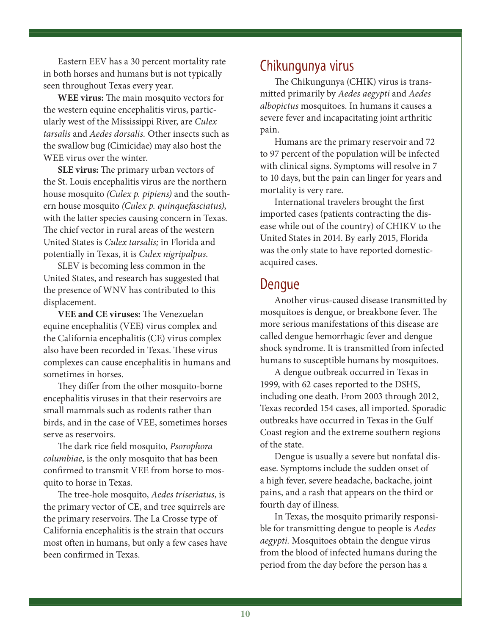Eastern EEV has a 30 percent mortality rate in both horses and humans but is not typically seen throughout Texas every year.

**WEE virus:** The main mosquito vectors for the western equine encephalitis virus, particularly west of the Mississippi River, are *Culex tarsalis* and *Aedes dorsalis.* Other insects such as the swallow bug (Cimicidae) may also host the WEE virus over the winter.

**SLE virus:** The primary urban vectors of the St. Louis encephalitis virus are the northern house mosquito *(Culex p. pipiens)* and the southern house mosquito *(Culex p. quinquefasciatus)*, with the latter species causing concern in Texas. The chief vector in rural areas of the western United States is *Culex tarsalis;* in Florida and potentially in Texas, it is *Culex nigripalpus.* 

SLEV is becoming less common in the United States, and research has suggested that the presence of WNV has contributed to this displacement.

**VEE and CE viruses:** The Venezuelan equine encephalitis (VEE) virus complex and the California encephalitis (CE) virus complex also have been recorded in Texas. These virus complexes can cause encephalitis in humans and sometimes in horses.

They differ from the other mosquito-borne encephalitis viruses in that their reservoirs are small mammals such as rodents rather than birds, and in the case of VEE, sometimes horses serve as reservoirs.

The dark rice field mosquito, *Psorophora columbiae*, is the only mosquito that has been confirmed to transmit VEE from horse to mosquito to horse in Texas.

The tree-hole mosquito, *Aedes triseriatus*, is the primary vector of CE, and tree squirrels are the primary reservoirs. The La Crosse type of California encephalitis is the strain that occurs most often in humans, but only a few cases have been confirmed in Texas.

## Chikungunya virus

The Chikungunya (CHIK) virus is transmitted primarily by *Aedes aegypti* and *Aedes albopictus* mosquitoes. In humans it causes a severe fever and incapacitating joint arthritic pain.

Humans are the primary reservoir and 72 to 97 percent of the population will be infected with clinical signs. Symptoms will resolve in 7 to 10 days, but the pain can linger for years and mortality is very rare.

International travelers brought the first imported cases (patients contracting the disease while out of the country) of CHIKV to the United States in 2014. By early 2015, Florida was the only state to have reported domesticacquired cases.

#### Dengue

Another virus-caused disease transmitted by mosquitoes is dengue, or breakbone fever. The more serious manifestations of this disease are called dengue hemorrhagic fever and dengue shock syndrome. It is transmitted from infected humans to susceptible humans by mosquitoes.

A dengue outbreak occurred in Texas in 1999, with 62 cases reported to the DSHS, including one death. From 2003 through 2012, Texas recorded 154 cases, all imported. Sporadic outbreaks have occurred in Texas in the Gulf Coast region and the extreme southern regions of the state.

Dengue is usually a severe but nonfatal disease. Symptoms include the sudden onset of a high fever, severe headache, backache, joint pains, and a rash that appears on the third or fourth day of illness.

In Texas, the mosquito primarily responsible for transmitting dengue to people is *Aedes aegypti.* Mosquitoes obtain the dengue virus from the blood of infected humans during the period from the day before the person has a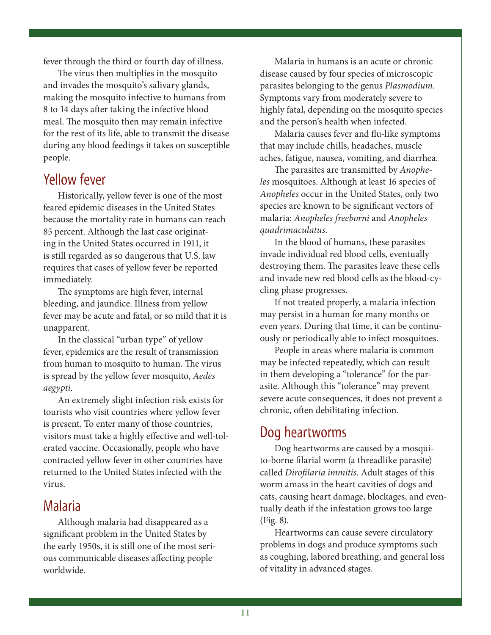fever through the third or fourth day of illness.

The virus then multiplies in the mosquito and invades the mosquito's salivary glands, making the mosquito infective to humans from 8 to 14 days after taking the infective blood meal. The mosquito then may remain infective for the rest of its life, able to transmit the disease during any blood feedings it takes on susceptible people.

### Yellow fever

Historically, yellow fever is one of the most feared epidemic diseases in the United States because the mortality rate in humans can reach 85 percent. Although the last case originating in the United States occurred in 1911, it is still regarded as so dangerous that U.S. law requires that cases of yellow fever be reported immediately.

The symptoms are high fever, internal bleeding, and jaundice. Illness from yellow fever may be acute and fatal, or so mild that it is unapparent.

In the classical "urban type" of yellow fever, epidemics are the result of transmission from human to mosquito to human. The virus is spread by the yellow fever mosquito, *Aedes aegypti.* 

An extremely slight infection risk exists for tourists who visit countries where yellow fever is present. To enter many of those countries, visitors must take a highly effective and well-tolerated vaccine. Occasionally, people who have contracted yellow fever in other countries have returned to the United States infected with the virus.

#### Malaria

Although malaria had disappeared as a significant problem in the United States by the early 1950s, it is still one of the most serious communicable diseases affecting people worldwide.

Malaria in humans is an acute or chronic disease caused by four species of microscopic parasites belonging to the genus *Plasmodium.*  Symptoms vary from moderately severe to highly fatal, depending on the mosquito species and the person's health when infected.

Malaria causes fever and flu-like symptoms that may include chills, headaches, muscle aches, fatigue, nausea, vomiting, and diarrhea.

The parasites are transmitted by *Anopheles* mosquitoes. Although at least 16 species of *Anopheles* occur in the United States, only two species are known to be significant vectors of malaria: *Anopheles freeborni* and *Anopheles quadrimaculatus.*

In the blood of humans, these parasites invade individual red blood cells, eventually destroying them. The parasites leave these cells and invade new red blood cells as the blood-cycling phase progresses.

If not treated properly, a malaria infection may persist in a human for many months or even years. During that time, it can be continuously or periodically able to infect mosquitoes.

People in areas where malaria is common may be infected repeatedly, which can result in them developing a "tolerance" for the parasite. Although this "tolerance" may prevent severe acute consequences, it does not prevent a chronic, often debilitating infection.

## Dog heartworms

Dog heartworms are caused by a mosquito-borne filarial worm (a threadlike parasite) called *Dirofilaria immitis*. Adult stages of this worm amass in the heart cavities of dogs and cats, causing heart damage, blockages, and eventually death if the infestation grows too large (Fig. 8).

Heartworms can cause severe circulatory problems in dogs and produce symptoms such as coughing, labored breathing, and general loss of vitality in advanced stages.